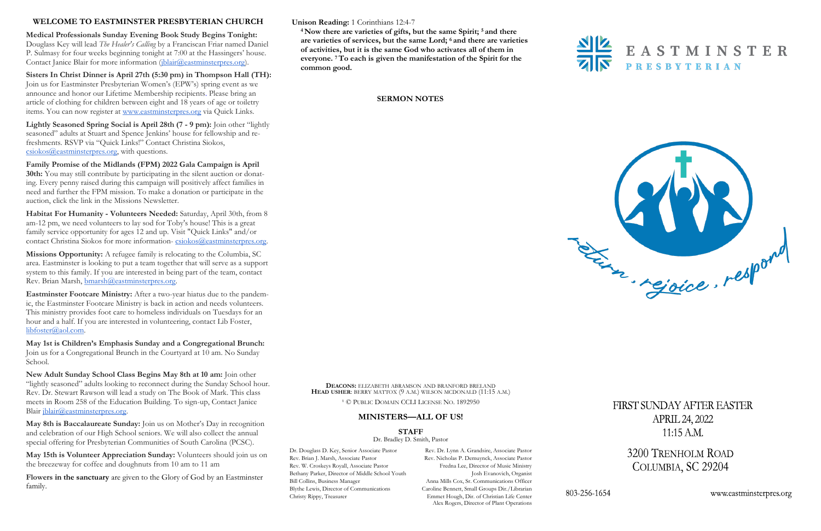**Unison Reading:** 1 Corinthians 12:4-7

**<sup>4</sup> Now there are varieties of gifts, but the same Spirit; <sup>5</sup> and there are varieties of services, but the same Lord; <sup>6</sup> and there are varieties of activities, but it is the same God who activates all of them in everyone. <sup>7</sup>To each is given the manifestation of the Spirit for the common good.**



**Medical Professionals Sunday Evening Book Study Begins Tonight:** Douglass Key will lead *The Healer's Calling* by a Franciscan Friar named Daniel P. Sulmasy for four weeks beginning tonight at 7:00 at the Hassingers' house. Contact Janice Blair for more information [\(jblair@eastminsterpres.org\).](mailto:jblair@eastminsterpres.org)

# **SERMON NOTES**



# **WELCOME TO EASTMINSTER PRESBYTERIAN CHURCH**

**Habitat For Humanity - Volunteers Needed:** Saturday, April 30th, from 8 am-12 pm, we need volunteers to lay sod for Toby's house! This is a great family service opportunity for ages 12 and up. Visit "Quick Links" and/or contact Christina Siokos for more information-[csiokos@eastminsterpres.org.](mailto:csiokos@eastminsterpres.org)

**Sisters In Christ Dinner is April 27th (5:30 pm) in Thompson Hall (TH):**  Join us for Eastminster Presbyterian Women's (EPW's) spring event as we announce and honor our Lifetime Membership recipients. Please bring an article of clothing for children between eight and 18 years of age or toiletry items. You can now register at [www.eastminsterpres.org](http://www.eastminsterpres.org) via Quick Links.

**Lightly Seasoned Spring Social is April 28th (7 - 9 pm):** Join other "lightly seasoned" adults at Stuart and Spence Jenkins' house for fellowship and refreshments. RSVP via "Quick Links!" Contact Christina Siokos, [csiokos@eastminsterpres.org,](mailto:csiokos@eastminsterpres.org) with questions.

**New Adult Sunday School Class Begins May 8th at 10 am:** Join other "lightly seasoned" adults looking to reconnect during the Sunday School hour. Rev. Dr. Stewart Rawson will lead a study on The Book of Mark. This class meets in Room 258 of the Education Building. To sign-up, Contact Janice Blair [jblair@eastminsterpres.org.](mailto:jblair@eastminsterpres.org)

**Family Promise of the Midlands (FPM) 2022 Gala Campaign is April 30th:** You may still contribute by participating in the silent auction or donating. Every penny raised during this campaign will positively affect families in need and further the FPM mission. To make a donation or participate in the auction, click the link in the Missions Newsletter.

**Missions Opportunity:** A refugee family is relocating to the Columbia, SC area. Eastminster is looking to put a team together that will serve as a support system to this family. If you are interested in being part of the team, contact Rev. Brian Marsh, [bmarsh@eastminsterpres.org.](mailto:bmarsh@eastminsterpres.org)

**Eastminster Footcare Ministry:** After a two-year hiatus due to the pandemic, the Eastminster Footcare Ministry is back in action and needs volunteers. This ministry provides foot care to homeless individuals on Tuesdays for an hour and a half. If you are interested in volunteering, contact Lib Foster, [libfoster@aol.com.](mailto:libfoster@aol.com)

**May 1st is Children's Emphasis Sunday and a Congregational Brunch:** Join us for a Congregational Brunch in the Courtyard at 10 am. No Sunday School.

**May 8th is Baccalaureate Sunday:** Join us on Mother's Day in recognition and celebration of our High School seniors. We will also collect the annual special offering for Presbyterian Communities of South Carolina (PCSC).

**May 15th is Volunteer Appreciation Sunday:** Volunteers should join us on the breezeway for coffee and doughnuts from 10 am to 11 am

**Flowers in the sanctuary** are given to the Glory of God by an Eastminster family.

**DEACONS:** ELIZABETH ABRAMSON AND BRANFORD BRELAND **HEAD USHER**: BERRY MATTOX (9 A.M.) WILSON MCDONALD (11:15 A.M.)

<sup>1</sup> © PUBLIC DOMAIN CCLI LICENSE NO. 1892950

# **MINISTERS—ALL OF US!**

**STAFF**

Dr. Bradley D. Smith, Pastor

Dr. Douglass D. Key, Senior Associate Pastor Rev. Dr. Lynn A. Grandsire, Associate Pastor Alex Rogers, Director of Plant Operations

# FIRST SUNDAY AFTER EASTER **APRIL 24, 2022**  $11:15$  A.M.

3200 TRENHOLM ROAD COLUMBIA, SC 29204

www.eastminsterpres.org

Rev. Brian J. Marsh, Associate Pastor Rev. Nicholas P. Demuynck, Associate Pastor Rev. W. Croskeys Royall, Associate Pastor Fredna Lee, Director of Music Ministry Bethany Parker, Director of Middle School Youth Josh Evanovich, Organist Bill Collins, Business Manager Anna Mills Cox, Sr. Communications Officer Blythe Lewis, Director of Communications Caroline Bennett, Small Groups Dir./Librarian Christy Rippy, Treasurer Emmet Hough, Dir. of Christian Life Center